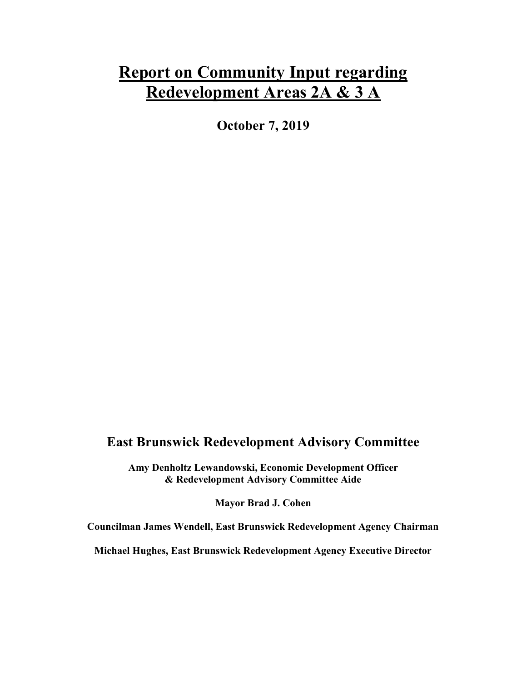# Report on Community Input regarding Redevelopment Areas 2A & 3 A

October 7, 2019

# East Brunswick Redevelopment Advisory Committee

Amy Denholtz Lewandowski, Economic Development Officer & Redevelopment Advisory Committee Aide

Mayor Brad J. Cohen

Councilman James Wendell, East Brunswick Redevelopment Agency Chairman

Michael Hughes, East Brunswick Redevelopment Agency Executive Director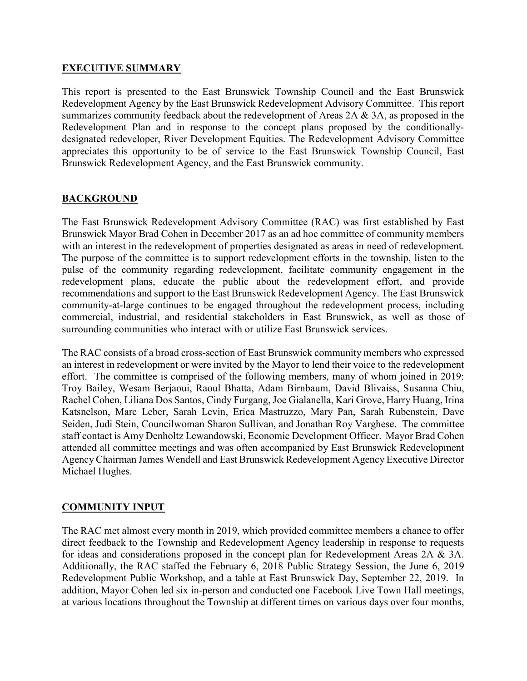#### EXECUTIVE SUMMARY

This report is presented to the East Brunswick Township Council and the East Brunswick Redevelopment Agency by the East Brunswick Redevelopment Advisory Committee. This report summarizes community feedback about the redevelopment of Areas 2A & 3A, as proposed in the Redevelopment Plan and in response to the concept plans proposed by the conditionallydesignated redeveloper, River Development Equities. The Redevelopment Advisory Committee appreciates this opportunity to be of service to the East Brunswick Township Council, East Brunswick Redevelopment Agency, and the East Brunswick community.

# BACKGROUND

The East Brunswick Redevelopment Advisory Committee (RAC) was first established by East Brunswick Mayor Brad Cohen in December 2017 as an ad hoc committee of community members with an interest in the redevelopment of properties designated as areas in need of redevelopment. The purpose of the committee is to support redevelopment efforts in the township, listen to the pulse of the community regarding redevelopment, facilitate community engagement in the redevelopment plans, educate the public about the redevelopment effort, and provide recommendations and support to the East Brunswick Redevelopment Agency. The East Brunswick community-at-large continues to be engaged throughout the redevelopment process, including commercial, industrial, and residential stakeholders in East Brunswick, as well as those of surrounding communities who interact with or utilize East Brunswick services.

The RAC consists of a broad cross-section of East Brunswick community members who expressed an interest in redevelopment or were invited by the Mayor to lend their voice to the redevelopment effort. The committee is comprised of the following members, many of whom joined in 2019: Troy Bailey, Wesam Berjaoui, Raoul Bhatta, Adam Birnbaum, David Blivaiss, Susanna Chiu, Rachel Cohen, Liliana Dos Santos, Cindy Furgang, Joe Gialanella, Kari Grove, Harry Huang, Irina Katsnelson, Marc Leber, Sarah Levin, Erica Mastruzzo, Mary Pan, Sarah Rubenstein, Dave Seiden, Judi Stein, Councilwoman Sharon Sullivan, and Jonathan Roy Varghese. The committee staff contact is Amy Denholtz Lewandowski, Economic Development Officer. Mayor Brad Cohen attended all committee meetings and was often accompanied by East Brunswick Redevelopment Agency Chairman James Wendell and East Brunswick Redevelopment Agency Executive Director Michael Hughes.

# COMMUNITY INPUT

The RAC met almost every month in 2019, which provided committee members a chance to offer direct feedback to the Township and Redevelopment Agency leadership in response to requests for ideas and considerations proposed in the concept plan for Redevelopment Areas 2A & 3A. Additionally, the RAC staffed the February 6, 2018 Public Strategy Session, the June 6, 2019 Redevelopment Public Workshop, and a table at East Brunswick Day, September 22, 2019. In addition, Mayor Cohen led six in-person and conducted one Facebook Live Town Hall meetings, at various locations throughout the Township at different times on various days over four months,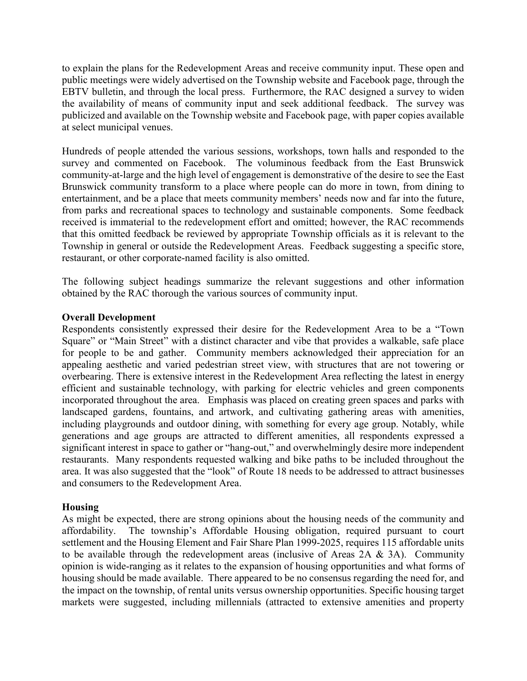to explain the plans for the Redevelopment Areas and receive community input. These open and public meetings were widely advertised on the Township website and Facebook page, through the EBTV bulletin, and through the local press. Furthermore, the RAC designed a survey to widen the availability of means of community input and seek additional feedback. The survey was publicized and available on the Township website and Facebook page, with paper copies available at select municipal venues.

Hundreds of people attended the various sessions, workshops, town halls and responded to the survey and commented on Facebook. The voluminous feedback from the East Brunswick community-at-large and the high level of engagement is demonstrative of the desire to see the East Brunswick community transform to a place where people can do more in town, from dining to entertainment, and be a place that meets community members' needs now and far into the future, from parks and recreational spaces to technology and sustainable components. Some feedback received is immaterial to the redevelopment effort and omitted; however, the RAC recommends that this omitted feedback be reviewed by appropriate Township officials as it is relevant to the Township in general or outside the Redevelopment Areas. Feedback suggesting a specific store, restaurant, or other corporate-named facility is also omitted.

The following subject headings summarize the relevant suggestions and other information obtained by the RAC thorough the various sources of community input.

#### Overall Development

Respondents consistently expressed their desire for the Redevelopment Area to be a "Town Square" or "Main Street" with a distinct character and vibe that provides a walkable, safe place for people to be and gather. Community members acknowledged their appreciation for an appealing aesthetic and varied pedestrian street view, with structures that are not towering or overbearing. There is extensive interest in the Redevelopment Area reflecting the latest in energy efficient and sustainable technology, with parking for electric vehicles and green components incorporated throughout the area. Emphasis was placed on creating green spaces and parks with landscaped gardens, fountains, and artwork, and cultivating gathering areas with amenities, including playgrounds and outdoor dining, with something for every age group. Notably, while generations and age groups are attracted to different amenities, all respondents expressed a significant interest in space to gather or "hang-out," and overwhelmingly desire more independent restaurants. Many respondents requested walking and bike paths to be included throughout the area. It was also suggested that the "look" of Route 18 needs to be addressed to attract businesses and consumers to the Redevelopment Area.

# Housing

As might be expected, there are strong opinions about the housing needs of the community and affordability. The township's Affordable Housing obligation, required pursuant to court settlement and the Housing Element and Fair Share Plan 1999-2025, requires 115 affordable units to be available through the redevelopment areas (inclusive of Areas 2A & 3A). Community opinion is wide-ranging as it relates to the expansion of housing opportunities and what forms of housing should be made available. There appeared to be no consensus regarding the need for, and the impact on the township, of rental units versus ownership opportunities. Specific housing target markets were suggested, including millennials (attracted to extensive amenities and property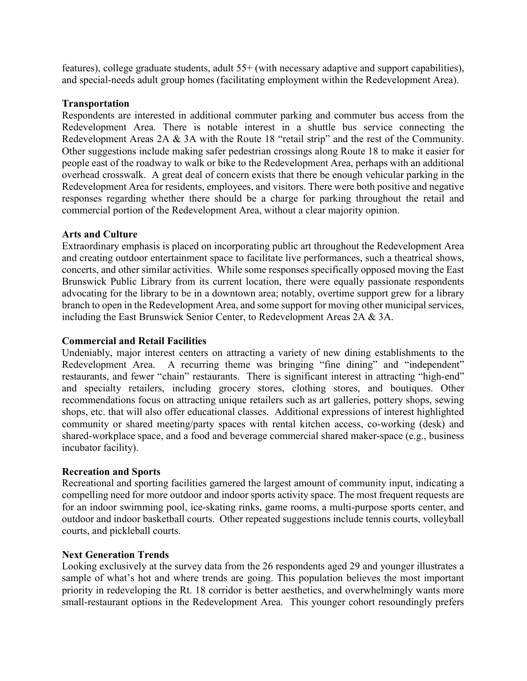features), college graduate students, adult 55+ (with necessary adaptive and support capabilities), and special-needs adult group homes (facilitating employment within the Redevelopment Area).

#### Transportation

Respondents are interested in additional commuter parking and commuter bus access from the Redevelopment Area. There is notable interest in a shuttle bus service connecting the Redevelopment Areas 2A & 3A with the Route 18 "retail strip" and the rest of the Community. Other suggestions include making safer pedestrian crossings along Route 18 to make it easier for people east of the roadway to walk or bike to the Redevelopment Area, perhaps with an additional overhead crosswalk. A great deal of concern exists that there be enough vehicular parking in the Redevelopment Area for residents, employees, and visitors. There were both positive and negative responses regarding whether there should be a charge for parking throughout the retail and commercial portion of the Redevelopment Area, without a clear majority opinion.

#### Arts and Culture

Extraordinary emphasis is placed on incorporating public art throughout the Redevelopment Area and creating outdoor entertainment space to facilitate live performances, such a theatrical shows, concerts, and other similar activities. While some responses specifically opposed moving the East Brunswick Public Library from its current location, there were equally passionate respondents advocating for the library to be in a downtown area; notably, overtime support grew for a library branch to open in the Redevelopment Area, and some support for moving other municipal services, including the East Brunswick Senior Center, to Redevelopment Areas 2A & 3A.

#### Commercial and Retail Facilities

Undeniably, major interest centers on attracting a variety of new dining establishments to the Redevelopment Area. A recurring theme was bringing "fine dining" and "independent" restaurants, and fewer "chain" restaurants. There is significant interest in attracting "high-end" and specialty retailers, including grocery stores, clothing stores, and boutiques. Other recommendations focus on attracting unique retailers such as art galleries, pottery shops, sewing shops, etc. that will also offer educational classes. Additional expressions of interest highlighted community or shared meeting/party spaces with rental kitchen access, co-working (desk) and shared-workplace space, and a food and beverage commercial shared maker-space (e.g., business incubator facility).

#### Recreation and Sports

Recreational and sporting facilities garnered the largest amount of community input, indicating a compelling need for more outdoor and indoor sports activity space. The most frequent requests are for an indoor swimming pool, ice-skating rinks, game rooms, a multi-purpose sports center, and outdoor and indoor basketball courts. Other repeated suggestions include tennis courts, volleyball courts, and pickleball courts.

#### Next Generation Trends

Looking exclusively at the survey data from the 26 respondents aged 29 and younger illustrates a sample of what's hot and where trends are going. This population believes the most important priority in redeveloping the Rt. 18 corridor is better aesthetics, and overwhelmingly wants more small-restaurant options in the Redevelopment Area. This younger cohort resoundingly prefers